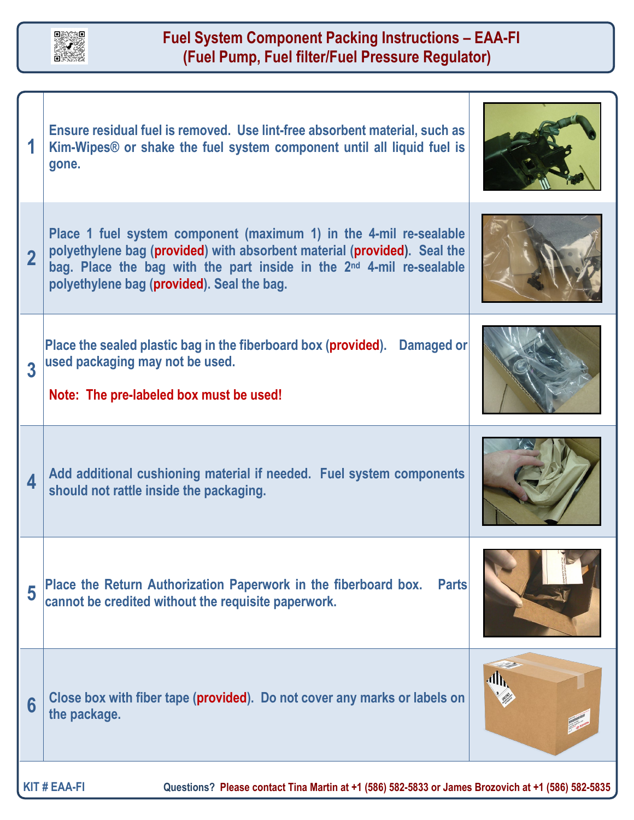

## **Fuel System Component Packing Instructions – EAA-FI (Fuel Pump, Fuel filter/Fuel Pressure Regulator)**

|   | Ensure residual fuel is removed. Use lint-free absorbent material, such as<br>Kim-Wipes <sup>®</sup> or shake the fuel system component until all liquid fuel is<br>gone.                                                                                                        |  |
|---|----------------------------------------------------------------------------------------------------------------------------------------------------------------------------------------------------------------------------------------------------------------------------------|--|
|   | Place 1 fuel system component (maximum 1) in the 4-mil re-sealable<br>polyethylene bag (provided) with absorbent material (provided). Seal the<br>bag. Place the bag with the part inside in the 2 <sup>nd</sup> 4-mil re-sealable<br>polyethylene bag (provided). Seal the bag. |  |
| 3 | Place the sealed plastic bag in the fiberboard box (provided).  Damaged or<br>used packaging may not be used.<br>Note: The pre-labeled box must be used!                                                                                                                         |  |
| 4 | Add additional cushioning material if needed. Fuel system components<br>should not rattle inside the packaging.                                                                                                                                                                  |  |
| 5 | Place the Return Authorization Paperwork in the fiberboard box.<br><b>Parts</b><br>cannot be credited without the requisite paperwork.                                                                                                                                           |  |
| 6 | Close box with fiber tape (provided). Do not cover any marks or labels on<br>the package.                                                                                                                                                                                        |  |
|   |                                                                                                                                                                                                                                                                                  |  |

**KIT # EAA-FI Questions? Please contact Tina Martin at +1 (586) 582-5833 or James Brozovich at +1 (586) 582-5835**